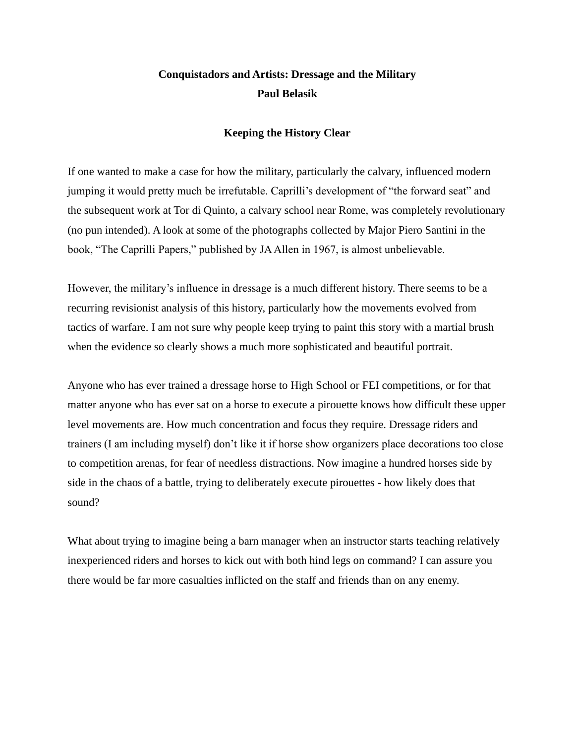## **Conquistadors and Artists: Dressage and the Military Paul Belasik**

## **Keeping the History Clear**

If one wanted to make a case for how the military, particularly the calvary, influenced modern jumping it would pretty much be irrefutable. Caprilli's development of "the forward seat" and the subsequent work at Tor di Quinto, a calvary school near Rome, was completely revolutionary (no pun intended). A look at some of the photographs collected by Major Piero Santini in the book, "The Caprilli Papers," published by JA Allen in 1967, is almost unbelievable.

However, the military's influence in dressage is a much different history. There seems to be a recurring revisionist analysis of this history, particularly how the movements evolved from tactics of warfare. I am not sure why people keep trying to paint this story with a martial brush when the evidence so clearly shows a much more sophisticated and beautiful portrait.

Anyone who has ever trained a dressage horse to High School or FEI competitions, or for that matter anyone who has ever sat on a horse to execute a pirouette knows how difficult these upper level movements are. How much concentration and focus they require. Dressage riders and trainers (I am including myself) don't like it if horse show organizers place decorations too close to competition arenas, for fear of needless distractions. Now imagine a hundred horses side by side in the chaos of a battle, trying to deliberately execute pirouettes - how likely does that sound?

What about trying to imagine being a barn manager when an instructor starts teaching relatively inexperienced riders and horses to kick out with both hind legs on command? I can assure you there would be far more casualties inflicted on the staff and friends than on any enemy.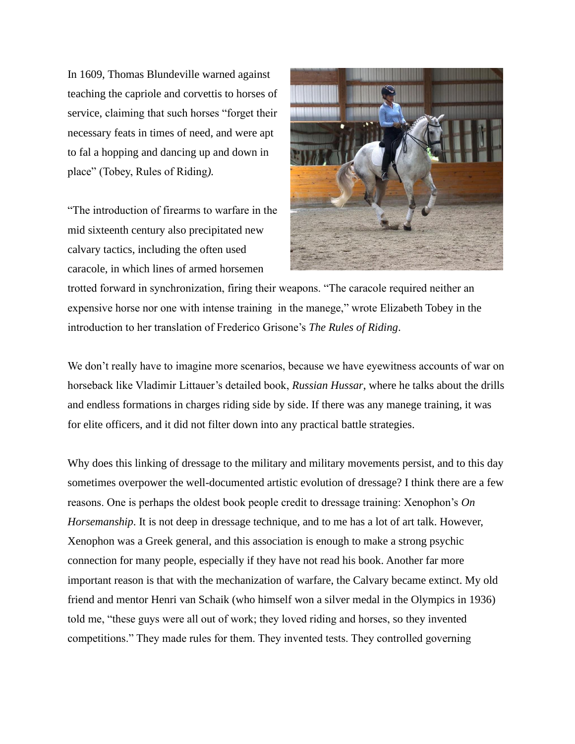In 1609, Thomas Blundeville warned against teaching the capriole and corvettis to horses of service, claiming that such horses "forget their necessary feats in times of need, and were apt to fal a hopping and dancing up and down in place" (Tobey, Rules of Riding*).*

"The introduction of firearms to warfare in the mid sixteenth century also precipitated new calvary tactics, including the often used caracole, in which lines of armed horsemen



trotted forward in synchronization, firing their weapons. "The caracole required neither an expensive horse nor one with intense training in the manege," wrote Elizabeth Tobey in the introduction to her translation of Frederico Grisone's *The Rules of Riding*.

We don't really have to imagine more scenarios, because we have eyewitness accounts of war on horseback like Vladimir Littauer's detailed book, *Russian Hussar*, where he talks about the drills and endless formations in charges riding side by side. If there was any manege training, it was for elite officers, and it did not filter down into any practical battle strategies.

Why does this linking of dressage to the military and military movements persist, and to this day sometimes overpower the well-documented artistic evolution of dressage? I think there are a few reasons. One is perhaps the oldest book people credit to dressage training: Xenophon's *On Horsemanship*. It is not deep in dressage technique, and to me has a lot of art talk. However, Xenophon was a Greek general, and this association is enough to make a strong psychic connection for many people, especially if they have not read his book. Another far more important reason is that with the mechanization of warfare, the Calvary became extinct. My old friend and mentor Henri van Schaik (who himself won a silver medal in the Olympics in 1936) told me, "these guys were all out of work; they loved riding and horses, so they invented competitions." They made rules for them. They invented tests. They controlled governing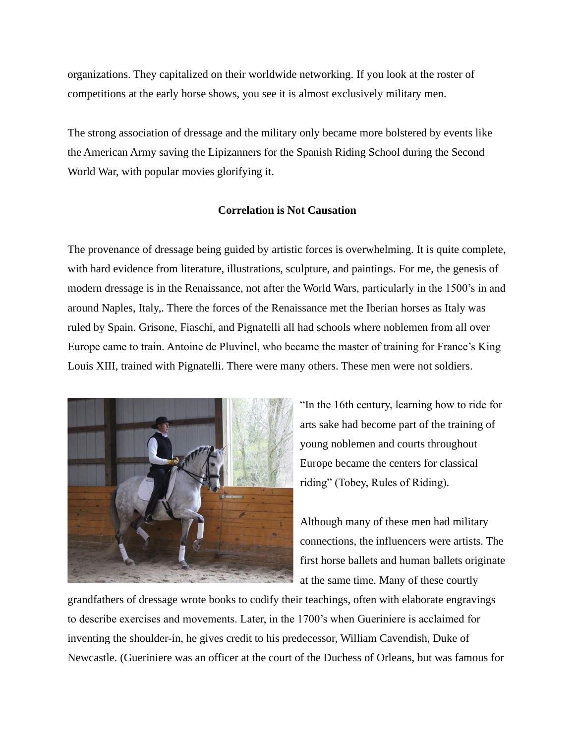organizations. They capitalized on their worldwide networking. If you look at the roster of competitions at the early horse shows, you see it is almost exclusively military men.

The strong association of dressage and the military only became more bolstered by events like the American Army saving the Lipizanners for the Spanish Riding School during the Second World War, with popular movies glorifying it.

## **Correlation is Not Causation**

The provenance of dressage being guided by artistic forces is overwhelming. It is quite complete, with hard evidence from literature, illustrations, sculpture, and paintings. For me, the genesis of modern dressage is in the Renaissance, not after the World Wars, particularly in the 1500's in and around Naples, Italy,. There the forces of the Renaissance met the Iberian horses as Italy was ruled by Spain. Grisone, Fiaschi, and Pignatelli all had schools where noblemen from all over Europe came to train. Antoine de Pluvinel, who became the master of training for France's King Louis XIII, trained with Pignatelli. There were many others. These men were not soldiers.



"In the 16th century, learning how to ride for arts sake had become part of the training of young noblemen and courts throughout Europe became the centers for classical riding" (Tobey, Rules of Riding)*.*

Although many of these men had military connections, the influencers were artists. The first horse ballets and human ballets originate at the same time. Many of these courtly

grandfathers of dressage wrote books to codify their teachings, often with elaborate engravings to describe exercises and movements. Later, in the 1700's when Gueriniere is acclaimed for inventing the shoulder-in, he gives credit to his predecessor, William Cavendish, Duke of Newcastle. (Gueriniere was an officer at the court of the Duchess of Orleans, but was famous for